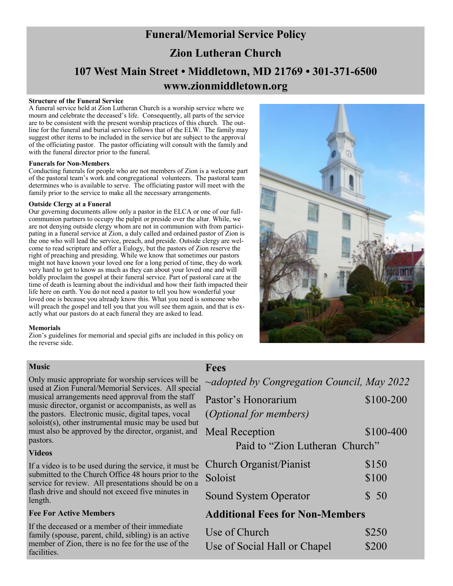# **Funeral/Memorial Service Policy Zion Lutheran Church 107 West Main Street • Middletown, MD 21769 • 301-371-6500 www.zionmiddletown.org**

#### **Structure of the Funeral Service**

A funeral service held at Zion Lutheran Church is a worship service where we mourn and celebrate the deceased's life. Consequently, all parts of the service are to be consistent with the present worship practices of this church. The outline for the funeral and burial service follows that of the ELW. The family may suggest other items to be included in the service but are subject to the approval of the officiating pastor. The pastor officiating will consult with the family and with the funeral director prior to the funeral.

### **Funerals for Non-Members**

Conducting funerals for people who are not members of Zion is a welcome part of the pastoral team's work and congregational volunteers. The pastoral team determines who is available to serve. The officiating pastor will meet with the family prior to the service to make all the necessary arrangements.

### **Outside Clergy at a Funeral**

Our governing documents allow only a pastor in the ELCA or one of our fullcommunion partners to occupy the pulpit or preside over the altar. While, we are not denying outside clergy whom are not in communion with from participating in a funeral service at Zion, a duly called and ordained pastor of Zion is the one who will lead the service, preach, and preside. Outside clergy are welcome to read scripture and offer a Eulogy, but the pastors of Zion reserve the right of preaching and presiding. While we know that sometimes our pastors might not have known your loved one for a long period of time, they do work very hard to get to know as much as they can about your loved one and will boldly proclaim the gospel at their funeral service. Part of pastoral care at the time of death is learning about the individual and how their faith impacted their life here on earth. You do not need a pastor to tell you how wonderful your loved one is because you already know this. What you need is someone who will preach the gospel and tell you that you will see them again, and that is exactly what our pastors do at each funeral they are asked to lead.

### **Memorials**

Zion's guidelines for memorial and special gifts are included in this policy on the reverse side.



### **Music**

Only music appropriate for worship services will be used at Zion Funeral/Memorial Services. All special musical arrangements need approval from the staff music director, organist or accompanists, as well as the pastors. Electronic music, digital tapes, vocal soloist(s), other instrumental music may be used but must also be approved by the director, organist, and pastors.

### **Videos**

If a video is to be used during the service, it must be submitted to the Church Office 48 hours prior to the service for review. All presentations should be on a flash drive and should not exceed five minutes in length.

### **Fee For Active Members**

If the deceased or a member of their immediate family (spouse, parent, child, sibling) is an active member of Zion, there is no fee for the use of the facilities.

### **Fees**

| $\sim$ adopted by Congregation Council, May 2022 |           |  |
|--------------------------------------------------|-----------|--|
| Pastor's Honorarium                              | \$100-200 |  |
| <i>(Optional for members)</i>                    |           |  |
| <b>Meal Reception</b>                            | \$100-400 |  |
| Paid to "Zion Lutheran Church"                   |           |  |
| Church Organist/Pianist                          | \$150     |  |
| Soloist                                          | \$100     |  |
| <b>Sound System Operator</b>                     | \$50      |  |
| <b>Additional Fees for Non-Members</b>           |           |  |
|                                                  |           |  |

| Use of Church                | \$250 |
|------------------------------|-------|
| Use of Social Hall or Chapel | \$200 |